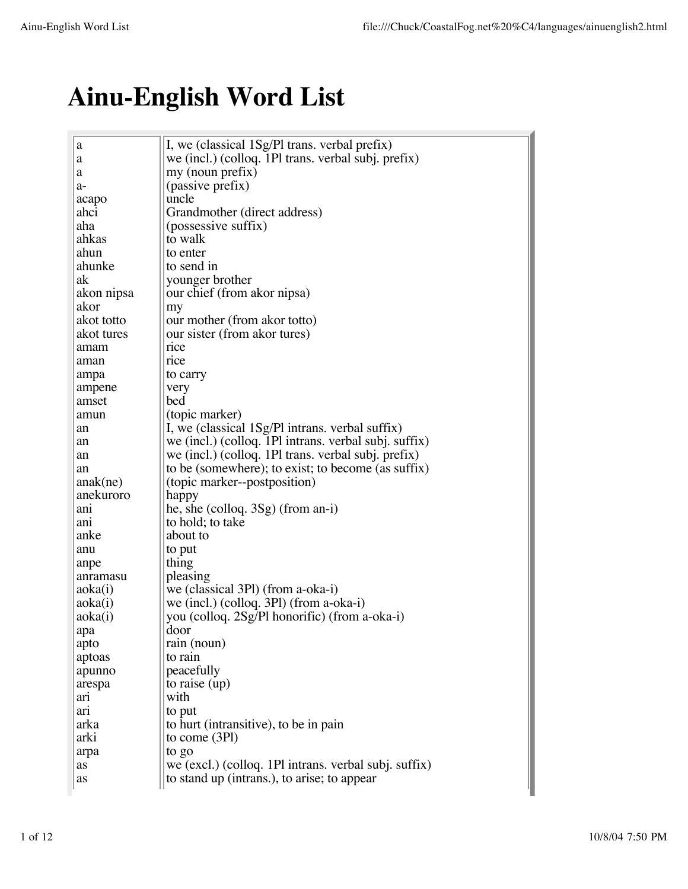## **Ainu-English Word List**

| a          | I, we (classical 1Sg/PI trans. verbal prefix)         |
|------------|-------------------------------------------------------|
| a          | we (incl.) (colloq. 1Pl trans. verbal subj. prefix)   |
| a          | my (noun prefix)                                      |
| a-         | (passive prefix)                                      |
| acapo      | uncle                                                 |
| ahci       | Grandmother (direct address)                          |
| aha        | (possessive suffix)                                   |
| ahkas      | to walk                                               |
| ahun       | to enter                                              |
| ahunke     | to send in                                            |
| ak         | younger brother                                       |
| akon nipsa | our chief (from akor nipsa)                           |
| akor       | my                                                    |
| akot totto | our mother (from akor totto)                          |
| akot tures | our sister (from akor tures)                          |
| amam       | rice                                                  |
| aman       | rice                                                  |
| ampa       | to carry                                              |
| ampene     | very                                                  |
| amset      | bed                                                   |
| amun       | (topic marker)                                        |
| an         | I, we (classical 1Sg/Pl intrans. verbal suffix)       |
| an         | we (incl.) (colloq. 1Pl intrans. verbal subj. suffix) |
| an         | we (incl.) (colloq. 1Pl trans. verbal subj. prefix)   |
| an         | to be (somewhere); to exist; to become (as suffix)    |
| anak(ne)   | (topic marker--postposition)                          |
| anekuroro  | happy                                                 |
| anı        | he, she (colloq. $3Sg$ ) (from an-i)                  |
| anı        | to hold; to take                                      |
| anke       | about to                                              |
| anu        | to put                                                |
| anpe       | thing                                                 |
| anramasu   | pleasing                                              |
| aoka(i)    | we (classical 3Pl) (from a-oka-i)                     |
| aoka(i)    | we (incl.) (colloq. $3P1$ ) (from a-oka-i)            |
| aoka(i)    | you (colloq. 2Sg/Pl honorific) (from a-oka-i)         |
| apa        | door                                                  |
| apto       | rain (noun)                                           |
| aptoas     | to rain                                               |
| apunno     | peacefully                                            |
| arespa     | to raise $(up)$                                       |
| arı        | with                                                  |
| arı        | to put                                                |
| arka       | to hurt (intransitive), to be in pain                 |
| arki       | to come $(3P1)$                                       |
| arpa       | to go                                                 |
| as         | we (excl.) (colloq. 1Pl intrans. verbal subj. suffix) |
| as         | to stand up (intrans.), to arise; to appear           |
|            |                                                       |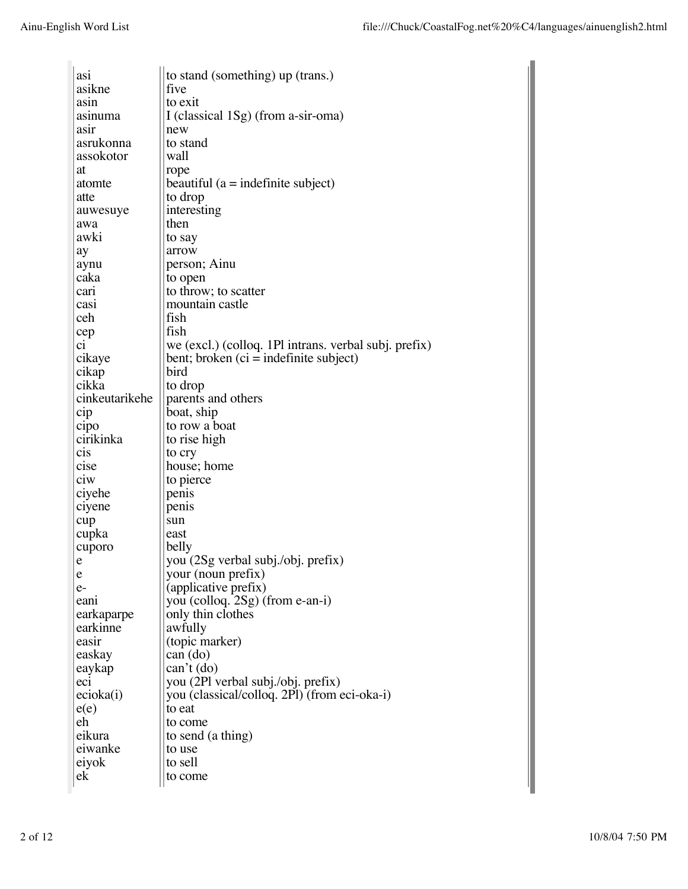| asi            | to stand (something) up (trans.)                      |
|----------------|-------------------------------------------------------|
| asikne         | five                                                  |
| asin           | to exit                                               |
| asınuma        | I (classical $1Sg$ ) (from a-sir-oma)                 |
| asir           | new                                                   |
| asrukonna      | to stand                                              |
| assokotor      | wall                                                  |
| at             | rope                                                  |
| atomte         | beautiful ( $a =$ indefinite subject)                 |
| atte           | to drop                                               |
| auwesuye       | interesting                                           |
| awa            | then                                                  |
| awki           | to say                                                |
| ay             | arrow                                                 |
| aynu           | person; Ainu                                          |
| caka           | to open                                               |
| cari           | to throw; to scatter                                  |
| casi           | mountain castle                                       |
| ceh            | fish                                                  |
|                |                                                       |
| cep            | fish                                                  |
| ci             | we (excl.) (colloq. 1Pl intrans. verbal subj. prefix) |
| cikaye         | bent; broken $(c_i$ = indefinite subject)             |
| cikap          | bird                                                  |
| cikka          | to drop                                               |
| cinkeutarikehe | parents and others                                    |
| cip            | boat, ship                                            |
| cipo           | to row a boat                                         |
| cirikinka      | to rise high                                          |
| cis            | to cry                                                |
| cise           | house; home                                           |
| ciw            | to pierce                                             |
| ciyehe         | penis                                                 |
| ciyene         | penis                                                 |
| cup            | sun                                                   |
| cupka          | east                                                  |
| cuporo         | belly                                                 |
| e              | you (2Sg verbal subj./obj. prefix)                    |
| e              | your (noun prefix)                                    |
| $e-$           | (applicative prefix)                                  |
| eani           | you (colloq. 2Sg) (from e-an-i)                       |
| earkaparpe     | only thin clothes                                     |
| earkinne       | awfully                                               |
| easir          | (topic marker)                                        |
| easkay         | can (do)                                              |
| eaykap         | $can't$ (do)                                          |
| ec1            | you (2Pl verbal subj./obj. prefix)                    |
| ecioka(i)      | you (classical/colloq. 2Pl) (from eci-oka-i)          |
| e(e)           | to eat                                                |
| eh             | to come                                               |
| eikura         | to send (a thing)                                     |
| eiwanke        | to use                                                |
| eiyok          | to sell                                               |
| ek             |                                                       |
|                | to come                                               |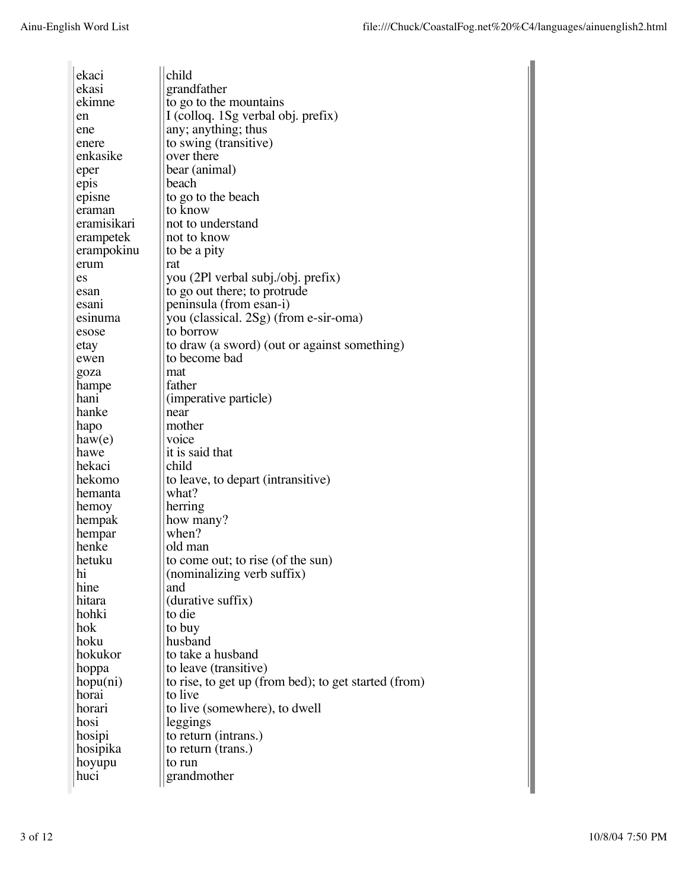| ekaci       | child                                                |
|-------------|------------------------------------------------------|
| ekasi       | grandfather                                          |
| ekimne      | to go to the mountains                               |
| en          | I (colloq. 1Sg verbal obj. prefix)                   |
| ene         | any; anything; thus                                  |
| enere       | to swing (transitive)                                |
| enkasike    | over there                                           |
| eper        | bear (animal)                                        |
| epis        | beach                                                |
| episne      | to go to the beach                                   |
| eraman      | to know                                              |
| eramisikari | not to understand                                    |
| erampetek   | not to know                                          |
| erampokinu  | to be a pity                                         |
| erum        | rat                                                  |
| es          | you (2Pl verbal subj./obj. prefix)                   |
| esan        | to go out there; to protrude                         |
| esanı       | peninsula (from esan-i)                              |
| esinuma     | you (classical. 2Sg) (from e-sir-oma)                |
| esose       | to borrow                                            |
| etay        | to draw (a sword) (out or against something)         |
| ewen        | to become bad                                        |
| goza        | mat                                                  |
| hampe       | father                                               |
| hanı        | (imperative particle)                                |
| hanke       | near                                                 |
| hapo        | mother                                               |
| haw(e)      | voice                                                |
| hawe        | it is said that                                      |
| hekaci      | child                                                |
| hekomo      | to leave, to depart (intransitive)                   |
| hemanta     | what?                                                |
| hemoy       | herring                                              |
| hempak      | how many?                                            |
| hempar      | when?                                                |
| henke       | old man                                              |
| hetuku      | to come out; to rise (of the sun)                    |
| hı          | (nominalizing verb suffix)                           |
| hine        | and                                                  |
| hitara      | (durative suffix)                                    |
| hohki       | to die                                               |
| hok         | to buy                                               |
| hoku        | husband                                              |
| hokukor     | to take a husband                                    |
| hoppa       | to leave (transitive)                                |
| hopu(ni)    | to rise, to get up (from bed); to get started (from) |
| horai       | to live                                              |
| horari      | to live (somewhere), to dwell                        |
| hosi        | leggings                                             |
| hosipi      | to return (intrans.)                                 |
| hosipika    | to return (trans.)                                   |
| hoyupu      | to run                                               |
| huci        | grandmother                                          |
|             |                                                      |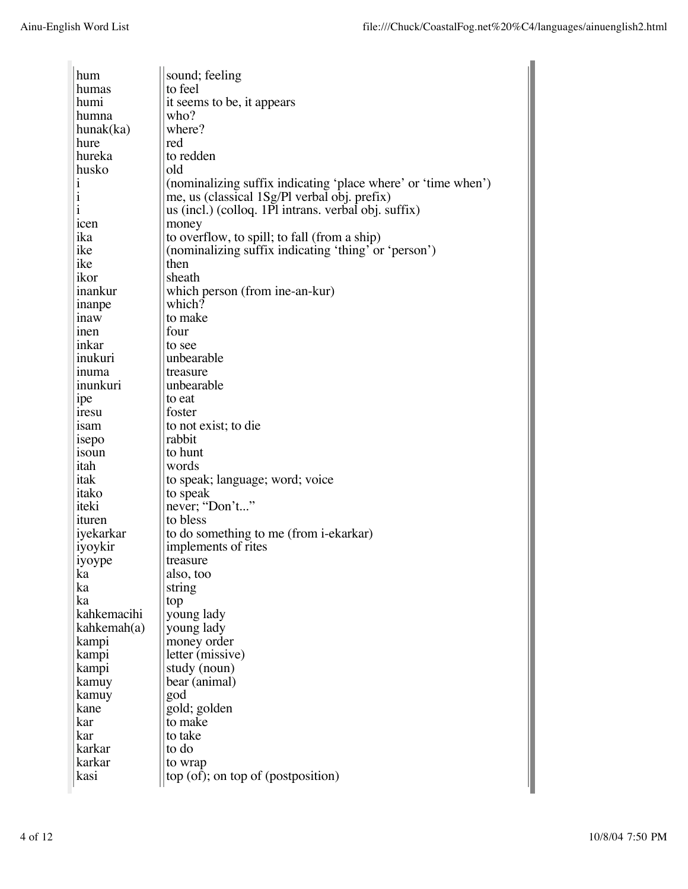| hum                        | sound; feeling                                                |
|----------------------------|---------------------------------------------------------------|
| humas                      | to feel                                                       |
| humi                       | it seems to be, it appears                                    |
| humna                      | who?                                                          |
| hunak(ka)                  | where?                                                        |
| hure                       | red                                                           |
| hureka                     | to redden                                                     |
| husko                      | old                                                           |
| $\mathbf{1}$               | (nominalizing suffix indicating 'place where' or 'time when') |
| $\mathbf{i}$               | me, us (classical 1Sg/Pl verbal obj. prefix)                  |
| i                          | us (incl.) (colloq. 1Pl intrans. verbal obj. suffix)          |
| icen                       | money                                                         |
| ika                        | to overflow, to spill; to fall (from a ship)                  |
| ike                        | (nominalizing suffix indicating 'thing' or 'person')          |
| ike                        | then                                                          |
| ikor                       | sheath                                                        |
| inankur                    | which person (from ine-an-kur)                                |
|                            | which?                                                        |
| inanpe                     | to make                                                       |
| <i>naw</i>                 | four                                                          |
| <sub>1</sub> nen<br>inkar  | to see                                                        |
| inukuri                    | unbearable                                                    |
| inuma                      | treasure                                                      |
| inunkuri                   | unbearable                                                    |
|                            |                                                               |
| ipe                        | to eat<br>foster                                              |
| <i><b>nesu</b></i><br>1sam | to not exist; to die                                          |
|                            | rabbit                                                        |
| isepo<br>1SOU <sub>n</sub> | to hunt                                                       |
| itah                       | words                                                         |
| itak                       | to speak; language; word; voice                               |
| itako                      | to speak                                                      |
| iteki                      | never; "Don't"                                                |
| <b>sturen</b>              | to bless                                                      |
| iyekarkar                  | to do something to me (from i-ekarkar)                        |
| iyoykir                    | implements of rites                                           |
| iyoype                     | treasure                                                      |
| ka                         | also, too                                                     |
| ka                         | string                                                        |
| ka                         | top                                                           |
| kahkemacihi                | young lady                                                    |
| kahkemah(a)                | young lady                                                    |
| kampi                      | money order                                                   |
| kampi                      | letter (missive)                                              |
| kampi                      | study (noun)                                                  |
| kamuy                      | bear (animal)                                                 |
| kamuy                      | god                                                           |
| kane                       | gold; golden                                                  |
| kar                        | to make                                                       |
| kar                        | to take                                                       |
| karkar                     | to do                                                         |
| karkar                     | to wrap                                                       |
| kasi                       | $top (of)$ ; on top of (postposition)                         |
|                            |                                                               |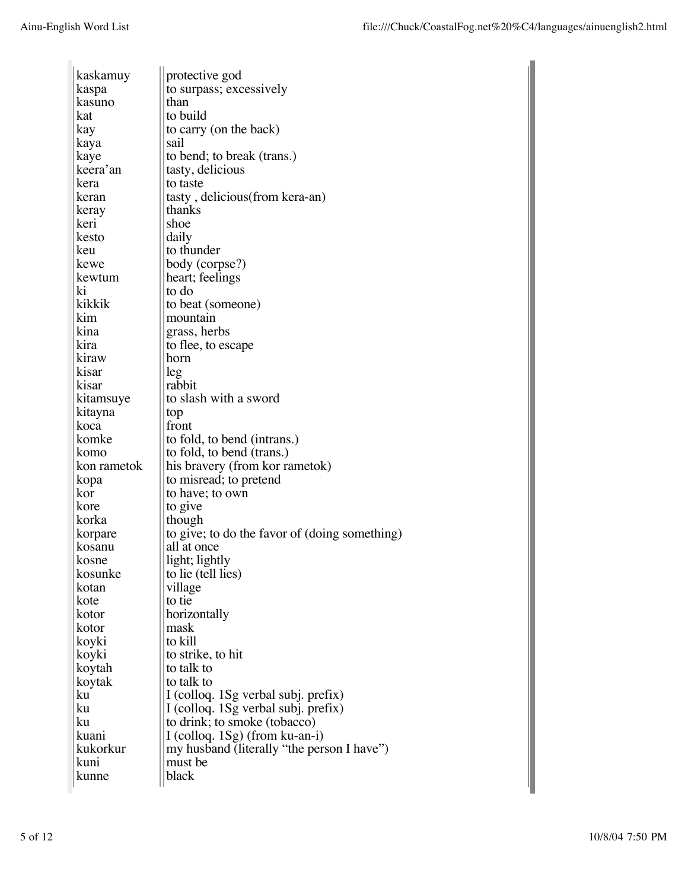| kaskamuy             | protective god                                |
|----------------------|-----------------------------------------------|
| kaspa                | to surpass; excessively                       |
| kasuno               | than                                          |
| kat                  | to build                                      |
| kay                  | to carry (on the back)                        |
| kaya                 | sail                                          |
| kaye                 | to bend; to break (trans.)                    |
| keera'an             | tasty, delicious                              |
| kera                 | to taste                                      |
| keran                | tasty, delicious(from kera-an)                |
| keray                | thanks                                        |
| keri                 | shoe                                          |
| kesto                | daily                                         |
| keu                  | to thunder                                    |
| kewe                 | body (corpse?)                                |
| kewtum               | heart; feelings                               |
| ki                   | to do                                         |
| kikkik               | to beat (someone)                             |
| kim                  | mountain                                      |
| kina                 | grass, herbs                                  |
| kira                 | to flee, to escape                            |
| kiraw                | horn                                          |
| kisar                | leg                                           |
| kisar                | rabbit                                        |
|                      | to slash with a sword                         |
| kitamsuye<br>kitayna |                                               |
| koca                 | top<br>front                                  |
| komke                | to fold, to bend (intrans.)                   |
| komo                 | to fold, to bend (trans.)                     |
| kon rametok          | his bravery (from kor rametok)                |
| kopa                 | to misread; to pretend                        |
| kor                  | to have; to own                               |
| kore                 | to give                                       |
| korka                | though                                        |
| korpare              | to give; to do the favor of (doing something) |
| kosanu               | all at once                                   |
| kosne                | light; lightly                                |
| kosunke              | to lie (tell lies)                            |
| kotan                | village                                       |
| kote                 | to tie                                        |
| kotor                | horizontally                                  |
| kotor                | mask                                          |
| koyki                | to kill                                       |
| koyki                | to strike, to hit                             |
| koytah               | to talk to                                    |
| koytak               | to talk to                                    |
| ku                   | I (colloq. 1Sg verbal subj. prefix)           |
| ku                   | I (colloq. 1Sg verbal subj. prefix)           |
| ku                   | to drink; to smoke (tobacco)                  |
| kuani                | I (colloq. $1Sg$ ) (from ku-an-i)             |
| kukorkur             | my husband (literally "the person I have")    |
| kuni                 | must be                                       |
| kunne                | black                                         |
|                      |                                               |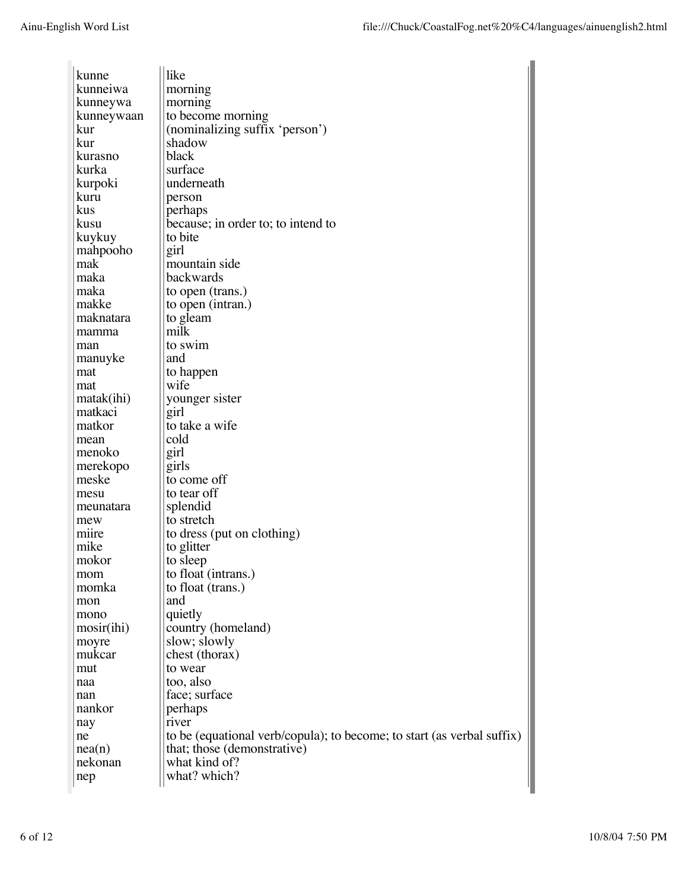| kunne                      | like                                                                   |
|----------------------------|------------------------------------------------------------------------|
| kunneiwa                   | morning                                                                |
| kunneywa                   | morning                                                                |
| kunneywaan                 | to become morning                                                      |
| kur                        | (nominalizing suffix 'person')                                         |
| kur                        | shadow                                                                 |
| kurasno                    | black                                                                  |
| kurka                      | surface                                                                |
| kurpoki                    | underneath                                                             |
| kuru                       | person                                                                 |
| kus                        | perhaps                                                                |
| kusu                       | because; in order to; to intend to                                     |
| kuykuy                     | to bite                                                                |
| mahpooho                   | girl                                                                   |
| mak                        | mountain side                                                          |
| maka                       | backwards                                                              |
| maka                       | to open (trans.)                                                       |
| makke                      | to open (intran.)                                                      |
| maknatara                  | to gleam                                                               |
| mamma                      | milk                                                                   |
| man                        | to swim                                                                |
| manuyke                    | and                                                                    |
| mat                        | to happen                                                              |
| mat                        | wife                                                                   |
| matak(ihi)                 | younger sister                                                         |
| matkaci                    | girl                                                                   |
| matkor                     | to take a wife                                                         |
| mean                       | cold                                                                   |
| menoko                     | girl                                                                   |
| merekopo                   | girls                                                                  |
| meske                      | to come off                                                            |
| mesu                       | to tear off                                                            |
| meunatara                  | splendid                                                               |
| mew                        | to stretch                                                             |
| mure                       | to dress (put on clothing)                                             |
| mike                       | to glitter                                                             |
| mokor                      | to sleep                                                               |
| mom                        | to float (intrans.)                                                    |
| momka                      | to float (trans.)                                                      |
| mon                        | and                                                                    |
| mono                       | quietly                                                                |
| $\text{mosir}(\text{ihi})$ | country (homeland)                                                     |
| moyre                      | slow; slowly                                                           |
| mukcar                     | chest (thorax)                                                         |
| mut                        | to wear                                                                |
| naa                        | too, also                                                              |
| nan                        | face; surface                                                          |
| nankor                     | perhaps                                                                |
| nay                        | river                                                                  |
| ne                         | to be (equational verb/copula); to become; to start (as verbal suffix) |
| nea(n)                     | that; those (demonstrative)                                            |
| nekonan                    | what kind of?                                                          |
| nep                        | what? which?                                                           |
|                            |                                                                        |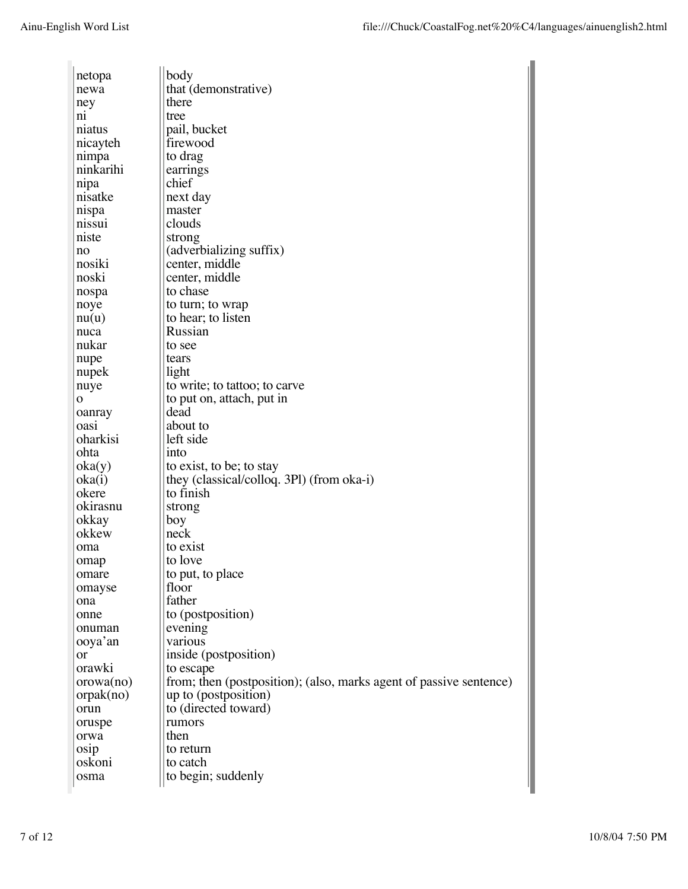| netopa         |           | body                                                               |
|----------------|-----------|--------------------------------------------------------------------|
| newa           |           | that (demonstrative)                                               |
| ney            |           | there                                                              |
| $n_{1}$        |           | tree                                                               |
| niatus         |           | pail, bucket                                                       |
|                | nicayteh  | firewood                                                           |
| nimpa          |           | to drag                                                            |
|                | ninkarihi | earrings                                                           |
| nipa           |           | chief                                                              |
|                | nisatke   | next day                                                           |
| nispa          |           | master                                                             |
| nissui         |           | clouds                                                             |
| niste          |           | strong                                                             |
| no             |           | (adverbializing suffix)                                            |
| nosiki         |           | center, middle                                                     |
| noski          |           | center, middle                                                     |
| nospa          |           | to chase                                                           |
| noye           |           | to turn; to wrap                                                   |
| nu(u)          |           | to hear; to listen                                                 |
| nuca           |           | Russian                                                            |
| nukar          |           | to see                                                             |
| nupe           |           | tears                                                              |
| nupek          |           | light                                                              |
| nuye           |           | to write; to tattoo; to carve                                      |
| $\mathbf{o}$   |           | to put on, attach, put in                                          |
| oanray         |           | dead                                                               |
| oasi           |           | about to                                                           |
|                | oharkisi  | left side                                                          |
| ohta           |           | into                                                               |
| oka(y)         |           | to exist, to be; to stay                                           |
| oka(i)         |           | they (classical/colloq. 3Pl) (from oka-i)                          |
| okere          |           | to finish                                                          |
|                | okirasnu  | strong                                                             |
| okkay<br>okkew |           | boy<br>neck                                                        |
|                |           | to exist                                                           |
| oma            |           | to love                                                            |
| omap           |           | to put, to place                                                   |
| omare          | omayse    | floor                                                              |
| ona            |           | father                                                             |
| onne           |           | to (postposition)                                                  |
|                | onuman    | evening                                                            |
|                | ooya'an   | various                                                            |
| or             |           | inside (postposition)                                              |
|                | orawki    | to escape                                                          |
|                | orowa(no) | from; then (postposition); (also, marks agent of passive sentence) |
|                | orpak(no) | up to (postposition)                                               |
| orun           |           | to (directed toward)                                               |
| oruspe         |           | rumors                                                             |
| orwa           |           | then                                                               |
| osip           |           | to return                                                          |
| oskoni         |           | to catch                                                           |
| osma           |           | to begin; suddenly                                                 |
|                |           |                                                                    |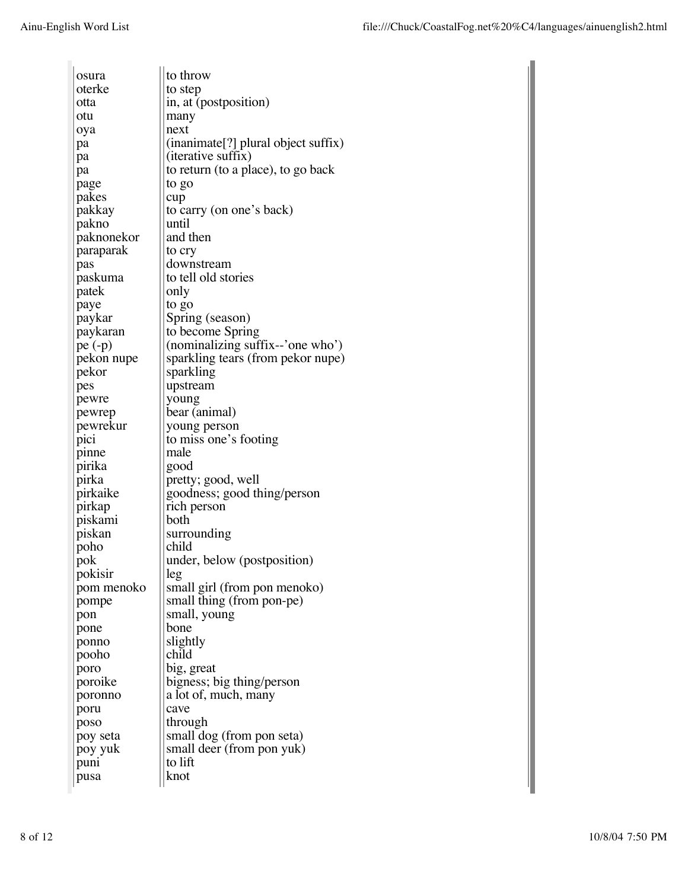| osura           | to throw                            |
|-----------------|-------------------------------------|
| oterke          | to step                             |
| otta            | in, at (postposition)               |
| otu             |                                     |
|                 | many<br>next                        |
| oya             | (inanimate[?] plural object suffix) |
| pa              | (iterative suffix)                  |
| pa              | to return (to a place), to go back  |
| pa              |                                     |
| page            | to go                               |
| pakes           | cup<br>to carry (on one's back)     |
| pakkay<br>pakno | until                               |
| paknonekor      | and then                            |
|                 |                                     |
| paraparak       | to cry                              |
| pas             | downstream<br>to tell old stories   |
| paskuma         |                                     |
| patek           | only                                |
| paye            | to go                               |
| paykar          | Spring (season)                     |
| paykaran        | to become Spring                    |
| $pe(-p)$        | (nominalizing suffix--'one who')    |
| pekon nupe      | sparkling tears (from pekor nupe)   |
| pekor           | sparkling                           |
| pes             | upstream                            |
| pewre           | young                               |
| pewrep          | bear (animal)                       |
| pewrekur        | young person                        |
| pici            | to miss one's footing<br>male       |
| pinne           |                                     |
| pirika          | good                                |
| pirka           | pretty; good, well                  |
| pirkaike        | goodness; good thing/person         |
| pirkap          | rich person<br>both                 |
| piskami         |                                     |
| piskan          | surrounding<br>child                |
| poho            |                                     |
| pok             | under, below (postposition)         |
| pokisir         | leg                                 |
| pom menoko      | small girl (from pon menoko)        |
| pompe           | small thing (from pon-pe)           |
| pon             | small, young                        |
| pone            | bone                                |
| ponno           | slightly<br>child                   |
| pooho           |                                     |
| poro            | big, great                          |
| poroike         | bigness; big thing/person           |
| poronno         | a lot of, much, many<br>cave        |
| poru            |                                     |
| poso            | through                             |
| poy seta        | small dog (from pon seta)           |
| poy yuk         | small deer (from pon yuk)           |
| puni            | to lift                             |
| pusa            | knot                                |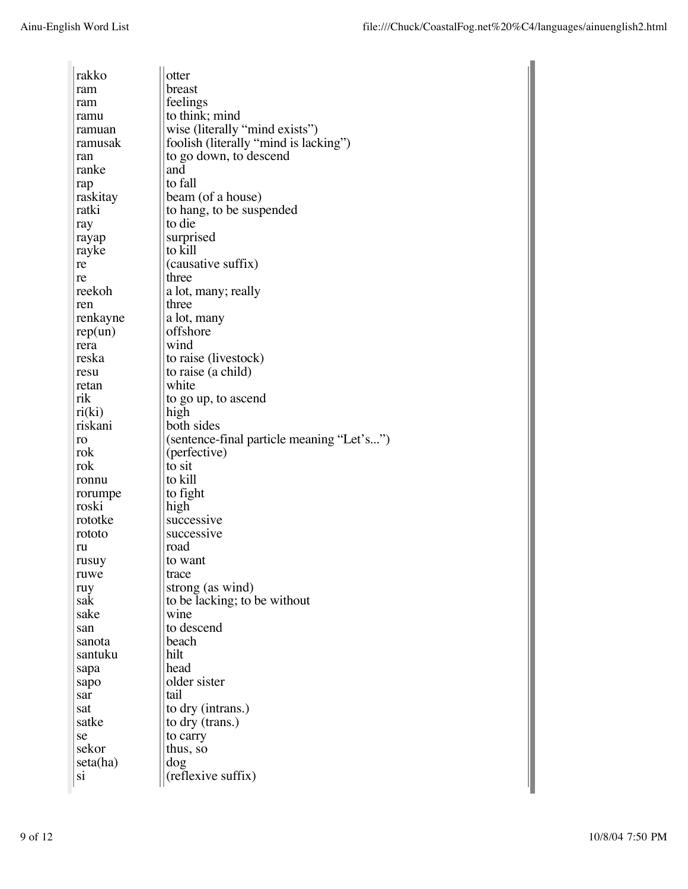| rakko             | otter                                     |
|-------------------|-------------------------------------------|
| ram               | breast                                    |
| ram               | feelings                                  |
| ramu              | to think; mind                            |
| ramuan            | wise (literally "mind exists")            |
| ramusak           | foolish (literally "mind is lacking")     |
| ran               | to go down, to descend                    |
| ranke             | and                                       |
|                   | to fall                                   |
| rap               | beam (of a house)                         |
| raskitay<br>ratki |                                           |
|                   | to hang, to be suspended<br>to die        |
| ray               |                                           |
| rayap             | surprised                                 |
| rayke             | to kill                                   |
| re                | (causative suffix)                        |
| re                | three                                     |
| reekoh            | a lot, many; really                       |
| ren               | three                                     |
| renkayne          | a lot, many                               |
| rep(un)           | offshore                                  |
| rera              | wınd                                      |
| reska             | to raise (livestock)                      |
| resu              | to raise (a child)                        |
| retan             | white                                     |
| rik               | to go up, to ascend                       |
| ri(ki)            | high                                      |
| riskani           | both sides                                |
| ro                | (sentence-final particle meaning "Let's") |
| rok               | (perfective)                              |
| rok               | to sit                                    |
| ronnu             | to kill                                   |
| rorumpe           | to fight                                  |
| roski             | high                                      |
| rototke           | successive                                |
| rototo            | successive                                |
| ru                | road                                      |
| rusuy             | to want                                   |
| ruwe              | trace                                     |
|                   | strong (as wind)                          |
| ruy<br>sak        | to be lacking; to be without              |
| sake              | wine                                      |
|                   | to descend                                |
| san               | beach                                     |
| sanota            |                                           |
| santuku           | hilt                                      |
| sapa              | head                                      |
| sapo              | older sister                              |
| sar               | tail                                      |
| sat               | to dry (intrans.)                         |
| satke             | to dry (trans.)                           |
| se                | to carry                                  |
| sekor             | thus, so                                  |
| seta(ha)          | dog                                       |
| S1                | (reflexive suffix)                        |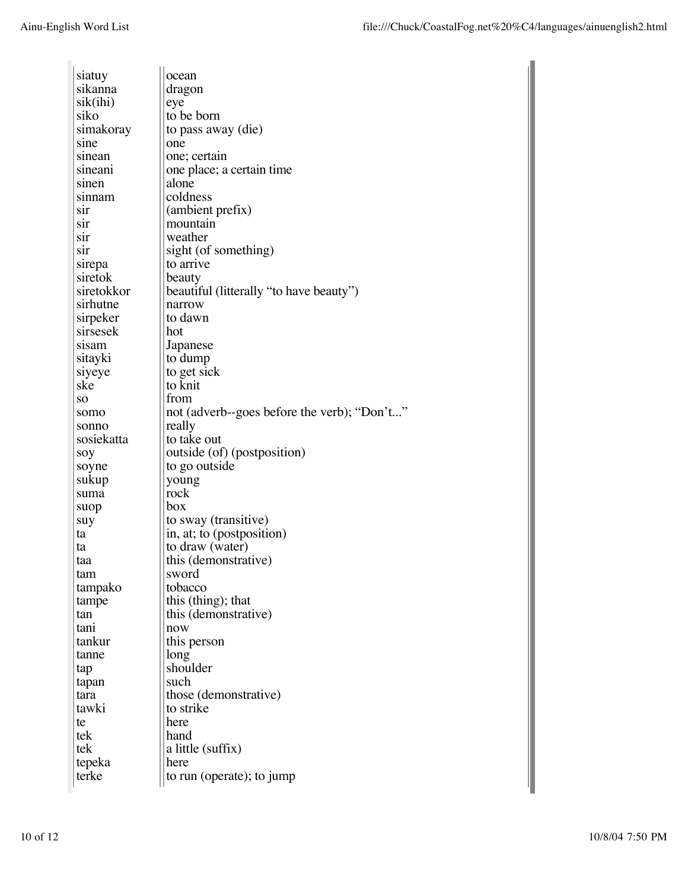| siatuy     | ocean                                             |
|------------|---------------------------------------------------|
| sikanna    | dragon                                            |
| sik(ihi)   | eye                                               |
| siko       | to be born                                        |
| simakoray  | to pass away (die)                                |
| sine       | one                                               |
| sinean     | one; certain                                      |
| sineani    | one place; a certain time                         |
| sinen      | alone                                             |
| sınnam     | coldness                                          |
| sır        | (ambient prefix)                                  |
| sır        | mountain                                          |
| sır        | weather                                           |
| S1r        | sight (of something)                              |
| sirepa     | to arrive                                         |
| siretok    |                                                   |
| siretokkor | beauty<br>beautiful (litterally "to have beauty") |
|            | narrow                                            |
| sirhutne   | to dawn                                           |
| sirpeker   |                                                   |
| sirsesek   | hot                                               |
| sisam      | Japanese                                          |
| sitayki    | to dump                                           |
| siyeye     | to get sick                                       |
| ske        | to knit                                           |
| SO         | trom                                              |
| somo       | not (adverb--goes before the verb); "Don't"       |
| sonno      | really                                            |
| sosiekatta | to take out                                       |
| soy        | outside (of) (postposition)                       |
| soyne      | to go outside                                     |
| sukup      | young                                             |
| suma       | rock                                              |
| suop       | box                                               |
| suy        | to sway (transitive)                              |
| ta         | in, at; to (postposition)                         |
| ta         | to draw (water)                                   |
| taa        | this (demonstrative)                              |
| tam        | sword                                             |
| tampako    | tobacco                                           |
| tampe      | this (thing); that                                |
| tan        | this (demonstrative)                              |
| tani       | now                                               |
| tankur     | this person                                       |
| tanne      | long                                              |
| tap        | shoulder                                          |
| tapan      | such                                              |
| tara       | those (demonstrative)                             |
| tawki      | to strike                                         |
| te         | here                                              |
| tek        | hand                                              |
| tek        | a little (suffix)                                 |
| tepeka     | here                                              |
| terke      | to run (operate); to jump                         |
|            |                                                   |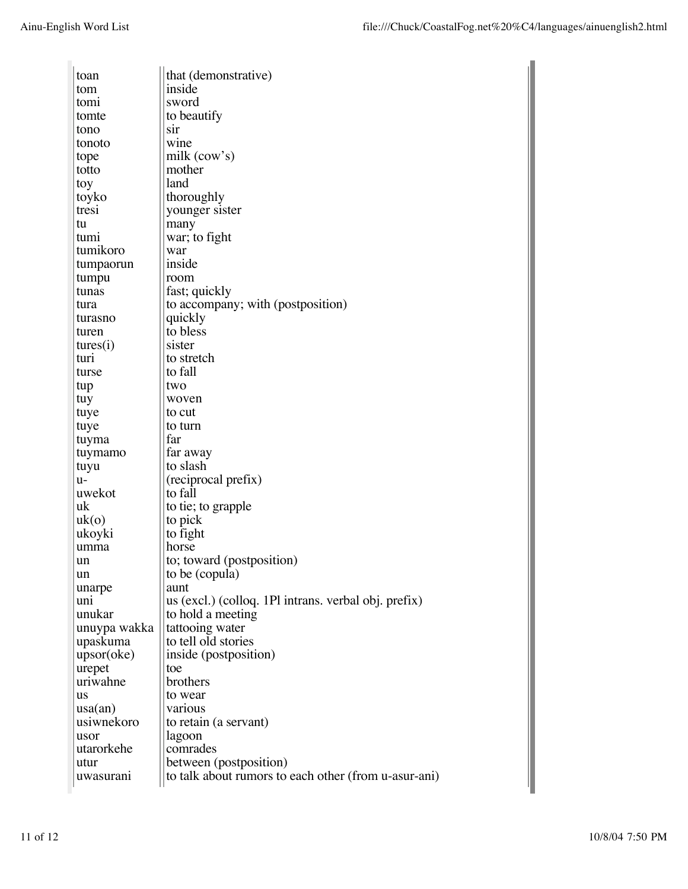| toan             | that (demonstrative)                                 |
|------------------|------------------------------------------------------|
| tom              | inside                                               |
| tomi             | sword                                                |
| tomte            | to beautify                                          |
| tono             | sir                                                  |
| tonoto           | wine                                                 |
| tope             | milk (cow's)                                         |
| totto            | mother                                               |
| toy              | land                                                 |
| toyko            | thoroughly                                           |
| tresi            | younger sister                                       |
| tu               | many                                                 |
| tumı             | war; to fight                                        |
| tumikoro         | war                                                  |
| tumpaorun        | inside                                               |
| tumpu            | room                                                 |
| tunas            | fast; quickly                                        |
| tura             | to accompany; with (postposition)                    |
| turasno          | quickly                                              |
| turen            | to bless                                             |
| tures(i)         | sister                                               |
| turi             | to stretch                                           |
| turse            | to fall                                              |
| tup              | two                                                  |
| tuy              | woven                                                |
| tuye             | to cut                                               |
| tuye             | to turn                                              |
|                  | far                                                  |
| tuyma            |                                                      |
| tuymamo          | far away<br>to slash                                 |
| tuyu             |                                                      |
| u-               | (reciprocal prefix)                                  |
| uwekot           | to fall                                              |
| uk               | to tie; to grapple                                   |
| uk(o)            | to pick                                              |
| ukoyki           | to fight                                             |
| umma             | horse                                                |
| un               | to; toward (postposition)                            |
| un               | to be (copula)                                       |
| unarpe           | aunt                                                 |
| uni              | us (excl.) (colloq. 1Pl intrans. verbal obj. prefix) |
| unukar           | to hold a meeting                                    |
| unuypa wakka     | tattooing water                                      |
| upaskuma         | to tell old stories                                  |
| upsor(oke)       | inside (postposition)                                |
| urepet           | toe                                                  |
| uriwahne         | brothers                                             |
| us               | to wear                                              |
| $\text{usa(an)}$ | various                                              |
| usiwnekoro       | to retain (a servant)                                |
| usor             | lagoon                                               |
| utarorkehe       | comrades                                             |
| utur             | between (postposition)                               |
| uwasuranı        | to talk about rumors to each other (from u-asur-ani) |
|                  |                                                      |